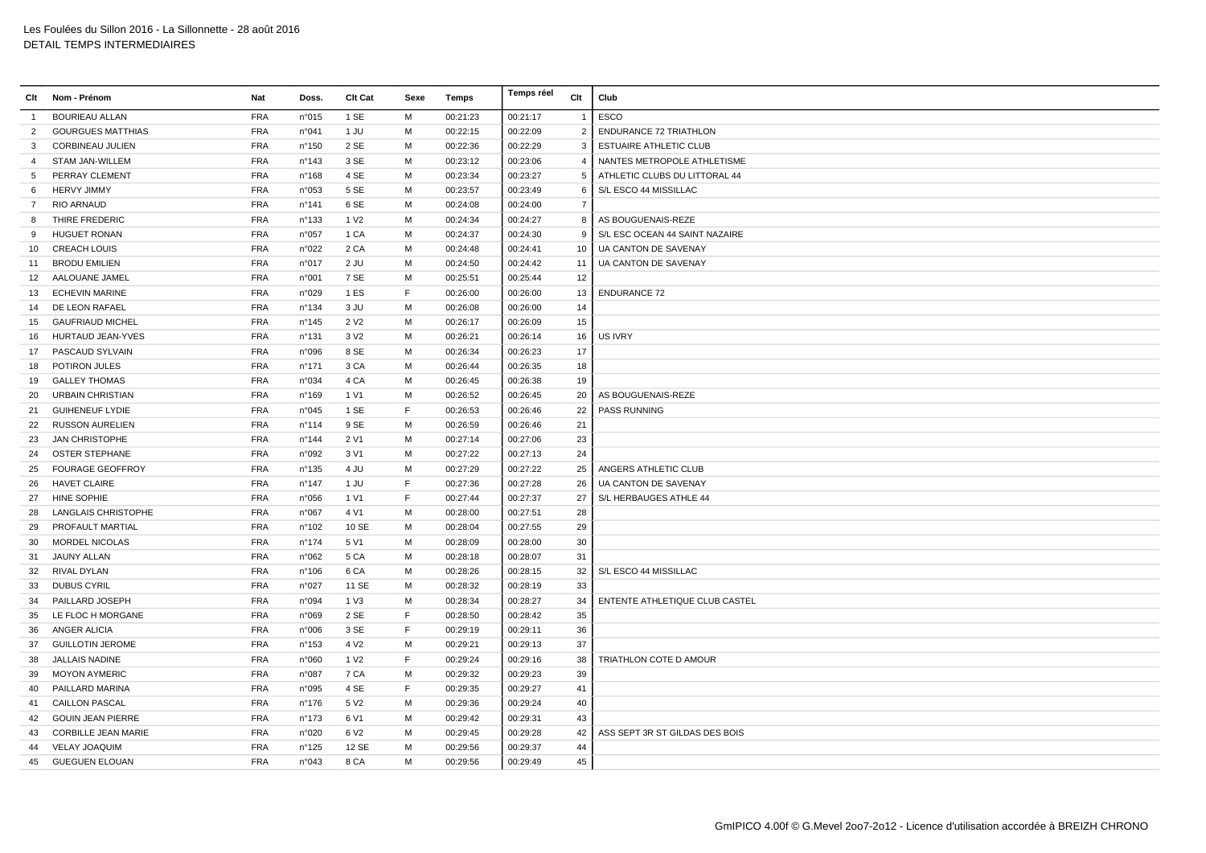| Clt             | Nom - Prénom               | Nat        | Doss.           | Clt Cat          | Sexe | Temps    | Temps réel | Clt            | Club                                  |
|-----------------|----------------------------|------------|-----------------|------------------|------|----------|------------|----------------|---------------------------------------|
| $\overline{1}$  | <b>BOURIEAU ALLAN</b>      | <b>FRA</b> | n°015           | 1 SE             | M    | 00:21:23 | 00:21:17   | $\overline{1}$ | ESCO                                  |
| $\overline{2}$  | <b>GOURGUES MATTHIAS</b>   | <b>FRA</b> | n°041           | 1 JU             | М    | 00:22:15 | 00:22:09   | $\overline{2}$ | <b>ENDURANCE 72 TRIATHLON</b>         |
| 3               | <b>CORBINEAU JULIEN</b>    | <b>FRA</b> | n°150           | 2 SE             | M    | 00:22:36 | 00:22:29   | 3              | <b>ESTUAIRE ATHLETIC CLUB</b>         |
| $\overline{4}$  | STAM JAN-WILLEM            | <b>FRA</b> | n°143           | 3 SE             | M    | 00:23:12 | 00:23:06   | $\overline{4}$ | NANTES METROPOLE ATHLETISME           |
| 5               | PERRAY CLEMENT             | <b>FRA</b> | n°168           | 4 SE             | M    | 00:23:34 | 00:23:27   | 5              | ATHLETIC CLUBS DU LITTORAL 44         |
| 6               | <b>HERVY JIMMY</b>         | <b>FRA</b> | n°053           | 5 SE             | M    | 00:23:57 | 00:23:49   | 6              | S/L ESCO 44 MISSILLAC                 |
| $\overline{7}$  | <b>RIO ARNAUD</b>          | <b>FRA</b> | n°141           | 6 SE             | M    | 00:24:08 | 00:24:00   | $\overline{7}$ |                                       |
| 8               | THIRE FREDERIC             | <b>FRA</b> | n°133           | 1 V <sub>2</sub> | M    | 00:24:34 | 00:24:27   | 8              | AS BOUGUENAIS-REZE                    |
| 9               | <b>HUGUET RONAN</b>        | <b>FRA</b> | n°057           | 1 CA             | M    | 00:24:37 | 00:24:30   | 9              | S/L ESC OCEAN 44 SAINT NAZAIRE        |
| 10 <sup>1</sup> | <b>CREACH LOUIS</b>        | <b>FRA</b> | n°022           | 2 CA             | M    | 00:24:48 | 00:24:41   | 10             | UA CANTON DE SAVENAY                  |
| 11              | <b>BRODU EMILIEN</b>       | <b>FRA</b> | n°017           | 2 JU             | M    | 00:24:50 | 00:24:42   | 11             | UA CANTON DE SAVENAY                  |
| 12 <sup>2</sup> | AALOUANE JAMEL             | <b>FRA</b> | n°001           | 7 SE             | M    | 00:25:51 | 00:25:44   | 12             |                                       |
| 13              | <b>ECHEVIN MARINE</b>      | <b>FRA</b> | n°029           | 1 ES             | E    | 00:26:00 | 00:26:00   | 13             | <b>ENDURANCE 72</b>                   |
| 14              | DE LEON RAFAEL             | <b>FRA</b> | n°134           | 3 JU             | M    | 00:26:08 | 00:26:00   | 14             |                                       |
| 15              | <b>GAUFRIAUD MICHEL</b>    | <b>FRA</b> | $n^{\circ}$ 145 | 2 V <sub>2</sub> | M    | 00:26:17 | 00:26:09   | 15             |                                       |
|                 | 16 HURTAUD JEAN-YVES       | <b>FRA</b> | n°131           | 3 V <sub>2</sub> | M    | 00:26:21 | 00:26:14   | 16             | <b>US IVRY</b>                        |
| 17              | PASCAUD SYLVAIN            | <b>FRA</b> | n°096           | 8 SE             | M    | 00:26:34 | 00:26:23   | 17             |                                       |
| 18              | POTIRON JULES              | <b>FRA</b> | n°171           | 3 CA             | M    | 00:26:44 | 00:26:35   | 18             |                                       |
| 19              | <b>GALLEY THOMAS</b>       | <b>FRA</b> | n°034           | 4 CA             | М    | 00:26:45 | 00:26:38   | 19             |                                       |
| 20              | <b>URBAIN CHRISTIAN</b>    | <b>FRA</b> | n°169           | 1 V1             | M    | 00:26:52 | 00:26:45   | 20             | AS BOUGUENAIS-REZE                    |
| 21              | <b>GUIHENEUF LYDIE</b>     | <b>FRA</b> | n°045           | 1 SE             | F    | 00:26:53 | 00:26:46   | 22             | <b>PASS RUNNING</b>                   |
| 22              | <b>RUSSON AURELIEN</b>     | <b>FRA</b> | n°114           | 9 SE             | M    | 00:26:59 | 00:26:46   | 21             |                                       |
| 23              | <b>JAN CHRISTOPHE</b>      | <b>FRA</b> | n°144           | 2 V1             | M    | 00:27:14 | 00:27:06   | 23             |                                       |
| 24              | <b>OSTER STEPHANE</b>      | <b>FRA</b> | n°092           | 3 V1             | M    | 00:27:22 | 00:27:13   | 24             |                                       |
| 25              | <b>FOURAGE GEOFFROY</b>    | <b>FRA</b> | n°135           | 4 JU             | M    | 00:27:29 | 00:27:22   | 25             | ANGERS ATHLETIC CLUB                  |
| 26              | <b>HAVET CLAIRE</b>        | <b>FRA</b> | $n^{\circ}$ 147 | 1 JU             | F    | 00:27:36 | 00:27:28   | 26             | UA CANTON DE SAVENAY                  |
| 27              | <b>HINE SOPHIE</b>         | <b>FRA</b> | n°056           | 1 V1             | F    | 00:27:44 | 00:27:37   | 27             | S/L HERBAUGES ATHLE 44                |
| 28              | <b>LANGLAIS CHRISTOPHE</b> | <b>FRA</b> | n°067           | 4 V1             | M    | 00:28:00 | 00:27:51   | 28             |                                       |
| 29              | PROFAULT MARTIAL           | <b>FRA</b> | n°102           | 10 SE            | M    | 00:28:04 | 00:27:55   | 29             |                                       |
| 30              | <b>MORDEL NICOLAS</b>      | <b>FRA</b> | n°174           | 5 V1             | М    | 00:28:09 | 00:28:00   | 30             |                                       |
| 31              | JAUNY ALLAN                | <b>FRA</b> | n°062           | 5 CA             | M    | 00:28:18 | 00:28:07   | 31             |                                       |
| 32              | <b>RIVAL DYLAN</b>         | <b>FRA</b> | $n^{\circ}106$  | 6 CA             | M    | 00:28:26 | 00:28:15   | 32             | S/L ESCO 44 MISSILLAC                 |
| 33              | <b>DUBUS CYRIL</b>         | <b>FRA</b> | n°027           | 11 SE            | M    | 00:28:32 | 00:28:19   | 33             |                                       |
| 34              | PAILLARD JOSEPH            | <b>FRA</b> | n°094           | 1 V3             | M    | 00:28:34 | 00:28:27   | 34             | <b>ENTENTE ATHLETIQUE CLUB CASTEL</b> |
| 35              | LE FLOC H MORGANE          | <b>FRA</b> | n°069           | 2 SE             | F    | 00:28:50 | 00:28:42   | 35             |                                       |
| 36              | ANGER ALICIA               | <b>FRA</b> | n°006           | 3 SE             | F    | 00:29:19 | 00:29:11   | 36             |                                       |
| 37              | <b>GUILLOTIN JEROME</b>    | <b>FRA</b> | n°153           | 4 V <sub>2</sub> | M    | 00:29:21 | 00:29:13   | 37             |                                       |
| 38              | <b>JALLAIS NADINE</b>      | <b>FRA</b> | n°060           | 1 V <sub>2</sub> | F    | 00:29:24 | 00:29:16   | 38             | TRIATHLON COTE D AMOUR                |
| 39              | <b>MOYON AYMERIC</b>       | <b>FRA</b> | n°087           | 7 CA             | M    | 00:29:32 | 00:29:23   | 39             |                                       |
| 40              | PAILLARD MARINA            | <b>FRA</b> | n°095           | 4 SE             | E    | 00:29:35 | 00:29:27   | 41             |                                       |
| 41              | <b>CAILLON PASCAL</b>      | <b>FRA</b> | n°176           | 5 V <sub>2</sub> | M    | 00:29:36 | 00:29:24   | 40             |                                       |
| 42              | <b>GOUIN JEAN PIERRE</b>   | <b>FRA</b> | n°173           | 6 V1             | M    | 00:29:42 | 00:29:31   | 43             |                                       |
| 43              | <b>CORBILLE JEAN MARIE</b> | <b>FRA</b> | n°020           | 6 V <sub>2</sub> | M    | 00:29:45 | 00:29:28   | 42             | ASS SEPT 3R ST GILDAS DES BOIS        |
| 44              | <b>VELAY JOAQUIM</b>       | <b>FRA</b> | n°125           | 12 SE            | M    | 00:29:56 | 00:29:37   | 44             |                                       |
| 45              | <b>GUEGUEN ELOUAN</b>      | <b>FRA</b> | n°043           | 8 CA             | M    | 00:29:56 | 00:29:49   | 45             |                                       |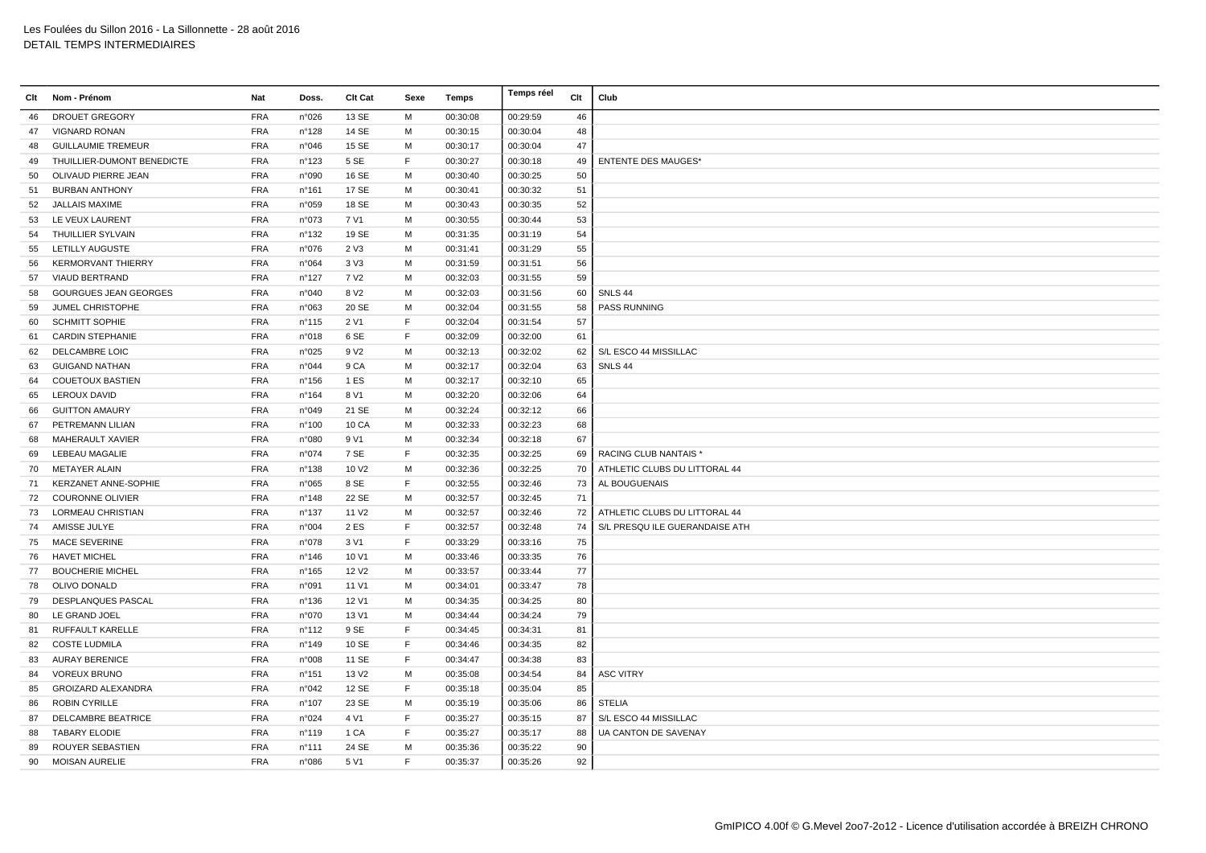| Clt | Nom - Prénom                 | Nat        | Doss.           | Clt Cat           | Sexe        | Temps    | Temps réel | Clt | Club                          |
|-----|------------------------------|------------|-----------------|-------------------|-------------|----------|------------|-----|-------------------------------|
| 46  | <b>DROUET GREGORY</b>        | <b>FRA</b> | n°026           | 13 SE             | M           | 00:30:08 | 00:29:59   | 46  |                               |
| 47  | <b>VIGNARD RONAN</b>         | <b>FRA</b> | n°128           | 14 SE             | M           | 00:30:15 | 00:30:04   | 48  |                               |
| 48  | <b>GUILLAUMIE TREMEUR</b>    | <b>FRA</b> | n°046           | 15 SE             | M           | 00:30:17 | 00:30:04   | 47  |                               |
| 49  | THUILLIER-DUMONT BENEDICTE   | <b>FRA</b> | n°123           | 5 SE              | F           | 00:30:27 | 00:30:18   | 49  | <b>ENTENTE DES MAUGES*</b>    |
| 50  | OLIVAUD PIERRE JEAN          | <b>FRA</b> | n°090           | 16 SE             | M           | 00:30:40 | 00:30:25   | 50  |                               |
| 51  | <b>BURBAN ANTHONY</b>        | <b>FRA</b> | $n^{\circ}161$  | 17 SE             | M           | 00:30:41 | 00:30:32   | 51  |                               |
| 52  | JALLAIS MAXIME               | <b>FRA</b> | n°059           | 18 SE             | М           | 00:30:43 | 00:30:35   | 52  |                               |
| 53  | LE VEUX LAURENT              | <b>FRA</b> | n°073           | 7 V1              | м           | 00:30:55 | 00:30:44   | 53  |                               |
| 54  | THUILLIER SYLVAIN            | <b>FRA</b> | n°132           | 19 SE             | M           | 00:31:35 | 00:31:19   | 54  |                               |
| 55  | LETILLY AUGUSTE              | <b>FRA</b> | n°076           | 2 V3              | M           | 00:31:41 | 00:31:29   | 55  |                               |
| 56  | <b>KERMORVANT THIERRY</b>    | <b>FRA</b> | n°064           | 3 <sub>V</sub> 3  | M           | 00:31:59 | 00:31:51   | 56  |                               |
| 57  | <b>VIAUD BERTRAND</b>        | <b>FRA</b> | $n^{\circ}$ 127 | 7 V <sub>2</sub>  | М           | 00:32:03 | 00:31:55   | 59  |                               |
| 58  | <b>GOURGUES JEAN GEORGES</b> | <b>FRA</b> | n°040           | 8 V <sub>2</sub>  | M           | 00:32:03 | 00:31:56   | 60  | SNLS 44                       |
| 59  | JUMEL CHRISTOPHE             | <b>FRA</b> | n°063           | 20 SE             | M           | 00:32:04 | 00:31:55   | 58  | <b>PASS RUNNING</b>           |
| 60  | <b>SCHMITT SOPHIE</b>        | <b>FRA</b> | n°115           | 2 V1              | F           | 00:32:04 | 00:31:54   | 57  |                               |
| 61  | <b>CARDIN STEPHANIE</b>      | <b>FRA</b> | n°018           | 6 SE              | F           | 00:32:09 | 00:32:00   | 61  |                               |
| 62  | <b>DELCAMBRE LOIC</b>        | <b>FRA</b> | n°025           | 9 V <sub>2</sub>  | M           | 00:32:13 | 00:32:02   | 62  | S/L ESCO 44 MISSILLAC         |
| 63  | <b>GUIGAND NATHAN</b>        | <b>FRA</b> | n°044           | 9 CA              | M           | 00:32:17 | 00:32:04   | 63  | SNLS 44                       |
| 64  | <b>COUETOUX BASTIEN</b>      | <b>FRA</b> | n°156           | 1 ES              | M           | 00:32:17 | 00:32:10   | 65  |                               |
| 65  | <b>LEROUX DAVID</b>          | <b>FRA</b> | n°164           | 8 V1              | M           | 00:32:20 | 00:32:06   | 64  |                               |
| 66  | <b>GUITTON AMAURY</b>        | <b>FRA</b> | n°049           | 21 SE             | м           | 00:32:24 | 00:32:12   | 66  |                               |
| 67  | PETREMANN LILIAN             | <b>FRA</b> | n°100           | 10 CA             | M           | 00:32:33 | 00:32:23   | 68  |                               |
| 68  | MAHERAULT XAVIER             | <b>FRA</b> | n°080           | 9 V1              | M           | 00:32:34 | 00:32:18   | 67  |                               |
| 69  | LEBEAU MAGALIE               | <b>FRA</b> | n°074           | 7 SE              | F.          | 00:32:35 | 00:32:25   | 69  | RACING CLUB NANTAIS *         |
| 70  | <b>METAYER ALAIN</b>         | <b>FRA</b> | n°138           | 10 V <sub>2</sub> | M           | 00:32:36 | 00:32:25   | 70  | ATHLETIC CLUBS DU LITTORAL 44 |
| 71  | <b>KERZANET ANNE-SOPHIE</b>  | <b>FRA</b> | n°065           | 8 SE              | $\mathsf F$ | 00:32:55 | 00:32:46   | 73  | AL BOUGUENAIS                 |
| 72  | <b>COURONNE OLIVIER</b>      | <b>FRA</b> | n°148           | 22 SE             | M           | 00:32:57 | 00:32:45   | 71  |                               |
| 73  | <b>LORMEAU CHRISTIAN</b>     | <b>FRA</b> | n°137           | 11 V <sub>2</sub> | M           | 00:32:57 | 00:32:46   | 72  | ATHLETIC CLUBS DU LITTORAL 44 |
| 74  | AMISSE JULYE                 | <b>FRA</b> | n°004           | 2 ES              | F           | 00:32:57 | 00:32:48   | 74  | S/L PRESQUILE GUERANDAISE ATH |
| 75  | <b>MACE SEVERINE</b>         | <b>FRA</b> | n°078           | 3 V1              | $\mathsf F$ | 00:33:29 | 00:33:16   | 75  |                               |
| 76  | <b>HAVET MICHEL</b>          | <b>FRA</b> | n°146           | 10 V1             | м           | 00:33:46 | 00:33:35   | 76  |                               |
| 77  | <b>BOUCHERIE MICHEL</b>      | <b>FRA</b> | $n^{\circ}$ 165 | 12 V <sub>2</sub> | M           | 00:33:57 | 00:33:44   | 77  |                               |
| 78  | OLIVO DONALD                 | <b>FRA</b> | n°091           | 11 V1             | M           | 00:34:01 | 00:33:47   | 78  |                               |
| 79  | <b>DESPLANQUES PASCAL</b>    | <b>FRA</b> | n°136           | 12 V1             | M           | 00:34:35 | 00:34:25   | 80  |                               |
| 80  | LE GRAND JOEL                | <b>FRA</b> | n°070           | 13 V1             | M           | 00:34:44 | 00:34:24   | 79  |                               |
| 81  | RUFFAULT KARELLE             | <b>FRA</b> | $n^{\circ}$ 112 | 9 SE              | F           | 00:34:45 | 00:34:31   | 81  |                               |
| 82  | <b>COSTE LUDMILA</b>         | <b>FRA</b> | n°149           | 10 SE             | F           | 00:34:46 | 00:34:35   | 82  |                               |
| 83  | <b>AURAY BERENICE</b>        | <b>FRA</b> | n°008           | 11 SE             | F           | 00:34:47 | 00:34:38   | 83  |                               |
| 84  | <b>VOREUX BRUNO</b>          | <b>FRA</b> | n°151           | 13 V <sub>2</sub> | M           | 00:35:08 | 00:34:54   | 84  | <b>ASC VITRY</b>              |
| 85  | <b>GROIZARD ALEXANDRA</b>    | <b>FRA</b> | n°042           | 12 SE             | F           | 00:35:18 | 00:35:04   | 85  |                               |
| 86  | ROBIN CYRILLE                | <b>FRA</b> | $n^{\circ}107$  | 23 SE             | M           | 00:35:19 | 00:35:06   | 86  | <b>STELIA</b>                 |
| 87  | <b>DELCAMBRE BEATRICE</b>    | <b>FRA</b> | n°024           | 4 V1              | E           | 00:35:27 | 00:35:15   | 87  | S/L ESCO 44 MISSILLAC         |
| 88  | <b>TABARY ELODIE</b>         | <b>FRA</b> | n°119           | 1 CA              | F           | 00:35:27 | 00:35:17   | 88  | UA CANTON DE SAVENAY          |
| 89  | ROUYER SEBASTIEN             | <b>FRA</b> | n°111           | 24 SE             | M           | 00:35:36 | 00:35:22   | 90  |                               |
| 90  | <b>MOISAN AURELIE</b>        | <b>FRA</b> | n°086           | 5 V1              | F.          | 00:35:37 | 00:35:26   | 92  |                               |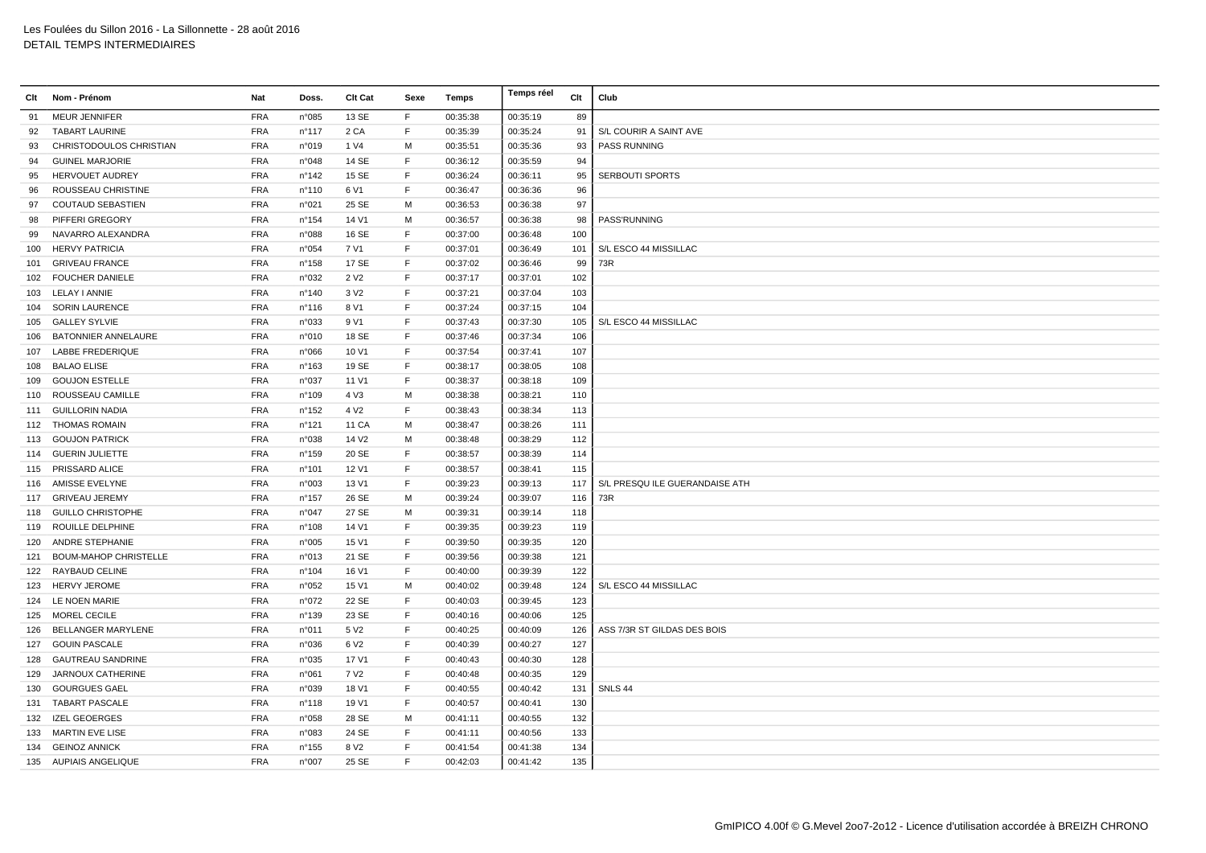| Clt | Nom - Prénom                 | Nat        | Doss.           | Clt Cat           | Sexe        | Temps    | Temps réel | Clt | Club                           |
|-----|------------------------------|------------|-----------------|-------------------|-------------|----------|------------|-----|--------------------------------|
| 91  | <b>MEUR JENNIFER</b>         | <b>FRA</b> | n°085           | 13 SE             | F           | 00:35:38 | 00:35:19   | 89  |                                |
| 92  | <b>TABART LAURINE</b>        | <b>FRA</b> | $n^{\circ}$ 117 | 2 CA              | F           | 00:35:39 | 00:35:24   | 91  | S/L COURIR A SAINT AVE         |
| 93  | CHRISTODOULOS CHRISTIAN      | <b>FRA</b> | n°019           | 1 V4              | M           | 00:35:51 | 00:35:36   | 93  | PASS RUNNING                   |
| 94  | <b>GUINEL MARJORIE</b>       | <b>FRA</b> | n°048           | 14 SE             | E           | 00:36:12 | 00:35:59   | 94  |                                |
| 95  | <b>HERVOUET AUDREY</b>       | <b>FRA</b> | $n^{\circ}$ 142 | 15 SE             | F           | 00:36:24 | 00:36:11   | 95  | <b>SERBOUTI SPORTS</b>         |
| 96  | ROUSSEAU CHRISTINE           | <b>FRA</b> | n°110           | 6 V1              | F           | 00:36:47 | 00:36:36   | 96  |                                |
| 97  | <b>COUTAUD SEBASTIEN</b>     | <b>FRA</b> | n°021           | 25 SE             | М           | 00:36:53 | 00:36:38   | 97  |                                |
| 98  | PIFFERI GREGORY              | <b>FRA</b> | $n^{\circ}$ 154 | 14 V1             | М           | 00:36:57 | 00:36:38   | 98  | PASS'RUNNING                   |
| 99  | NAVARRO ALEXANDRA            | <b>FRA</b> | n°088           | 16 SE             | F           | 00:37:00 | 00:36:48   | 100 |                                |
| 100 | <b>HERVY PATRICIA</b>        | <b>FRA</b> | n°054           | 7 V1              | F           | 00:37:01 | 00:36:49   | 101 | S/L ESCO 44 MISSILLAC          |
| 101 | <b>GRIVEAU FRANCE</b>        | <b>FRA</b> | n°158           | 17 SE             | F           | 00:37:02 | 00:36:46   | 99  | 73R                            |
|     | 102 FOUCHER DANIELE          | <b>FRA</b> | n°032           | 2 V <sub>2</sub>  | F           | 00:37:17 | 00:37:01   | 102 |                                |
| 103 | LELAY I ANNIE                | <b>FRA</b> | n°140           | 3 V <sub>2</sub>  | F           | 00:37:21 | 00:37:04   | 103 |                                |
| 104 | <b>SORIN LAURENCE</b>        | <b>FRA</b> | $n^{\circ}$ 116 | 8 V1              | E           | 00:37:24 | 00:37:15   | 104 |                                |
| 105 | <b>GALLEY SYLVIE</b>         | <b>FRA</b> | n°033           | 9 V1              | F           | 00:37:43 | 00:37:30   | 105 | S/L ESCO 44 MISSILLAC          |
| 106 | BATONNIER ANNELAURE          | <b>FRA</b> | n°010           | 18 SE             | F           | 00:37:46 | 00:37:34   | 106 |                                |
| 107 | <b>LABBE FREDERIQUE</b>      | <b>FRA</b> | n°066           | 10 V1             | F           | 00:37:54 | 00:37:41   | 107 |                                |
| 108 | <b>BALAO ELISE</b>           | <b>FRA</b> | n°163           | 19 SE             | F           | 00:38:17 | 00:38:05   | 108 |                                |
| 109 | <b>GOUJON ESTELLE</b>        | <b>FRA</b> | n°037           | 11 V1             | F           | 00:38:37 | 00:38:18   | 109 |                                |
| 110 | ROUSSEAU CAMILLE             | <b>FRA</b> | n°109           | 4 V3              | M           | 00:38:38 | 00:38:21   | 110 |                                |
|     | 111 GUILLORIN NADIA          | <b>FRA</b> | n°152           | 4 V <sub>2</sub>  | F           | 00:38:43 | 00:38:34   | 113 |                                |
|     | 112 THOMAS ROMAIN            | <b>FRA</b> | $n^{\circ}$ 121 | 11 CA             | M           | 00:38:47 | 00:38:26   | 111 |                                |
| 113 | <b>GOUJON PATRICK</b>        | <b>FRA</b> | n°038           | 14 V <sub>2</sub> | M           | 00:38:48 | 00:38:29   | 112 |                                |
|     | 114 GUERIN JULIETTE          | <b>FRA</b> | n°159           | 20 SE             | F           | 00:38:57 | 00:38:39   | 114 |                                |
|     | 115 PRISSARD ALICE           | <b>FRA</b> | n°101           | 12 V1             | F           | 00:38:57 | 00:38:41   | 115 |                                |
|     | 116 AMISSE EVELYNE           | <b>FRA</b> | n°003           | 13 V1             | $\mathsf F$ | 00:39:23 | 00:39:13   | 117 | S/L PRESQU ILE GUERANDAISE ATH |
|     | 117 GRIVEAU JEREMY           | <b>FRA</b> | $n^{\circ}$ 157 | 26 SE             | М           | 00:39:24 | 00:39:07   | 116 | 73R                            |
| 118 | <b>GUILLO CHRISTOPHE</b>     | <b>FRA</b> | n°047           | 27 SE             | M           | 00:39:31 | 00:39:14   | 118 |                                |
| 119 | ROUILLE DELPHINE             | <b>FRA</b> | n°108           | 14 V1             | $\mathsf F$ | 00:39:35 | 00:39:23   | 119 |                                |
| 120 | ANDRE STEPHANIE              | <b>FRA</b> | n°005           | 15 V1             | E           | 00:39:50 | 00:39:35   | 120 |                                |
| 121 | <b>BOUM-MAHOP CHRISTELLE</b> | <b>FRA</b> | n°013           | 21 SE             | F           | 00:39:56 | 00:39:38   | 121 |                                |
| 122 | RAYBAUD CELINE               | <b>FRA</b> | n°104           | 16 V1             | F.          | 00:40:00 | 00:39:39   | 122 |                                |
| 123 | <b>HERVY JEROME</b>          | <b>FRA</b> | n°052           | 15 V1             | M           | 00:40:02 | 00:39:48   | 124 | S/L ESCO 44 MISSILLAC          |
|     | 124 LE NOEN MARIE            | <b>FRA</b> | n°072           | 22 SE             | F           | 00:40:03 | 00:39:45   | 123 |                                |
| 125 | <b>MOREL CECILE</b>          | <b>FRA</b> | n°139           | 23 SE             | $\mathsf F$ | 00:40:16 | 00:40:06   | 125 |                                |
| 126 | <b>BELLANGER MARYLENE</b>    | <b>FRA</b> | n°011           | 5 V <sub>2</sub>  | F           | 00:40:25 | 00:40:09   | 126 | ASS 7/3R ST GILDAS DES BOIS    |
| 127 | <b>GOUIN PASCALE</b>         | FRA        | n°036           | 6 V <sub>2</sub>  | F           | 00:40:39 | 00:40:27   | 127 |                                |
| 128 | <b>GAUTREAU SANDRINE</b>     | <b>FRA</b> | n°035           | 17 V1             | F           | 00:40:43 | 00:40:30   | 128 |                                |
| 129 | JARNOUX CATHERINE            | <b>FRA</b> | n°061           | 7 V <sub>2</sub>  | F           | 00:40:48 | 00:40:35   | 129 |                                |
| 130 | <b>GOURGUES GAEL</b>         | <b>FRA</b> | n°039           | 18 V1             | F           | 00:40:55 | 00:40:42   | 131 | SNLS 44                        |
|     | 131 TABART PASCALE           | <b>FRA</b> | $n^{\circ}$ 118 | 19 V1             | F           | 00:40:57 | 00:40:41   | 130 |                                |
| 132 | <b>IZEL GEOERGES</b>         | <b>FRA</b> | n°058           | 28 SE             | M           | 00:41:11 | 00:40:55   | 132 |                                |
| 133 | <b>MARTIN EVE LISE</b>       | <b>FRA</b> | n°083           | 24 SE             | F.          | 00:41:11 | 00:40:56   | 133 |                                |
|     | 134 GEINOZ ANNICK            | <b>FRA</b> | n°155           | 8 V <sub>2</sub>  | F           | 00:41:54 | 00:41:38   | 134 |                                |
|     | 135 AUPIAIS ANGELIQUE        | <b>FRA</b> | n°007           | 25 SE             | F           | 00:42:03 | 00:41:42   | 135 |                                |